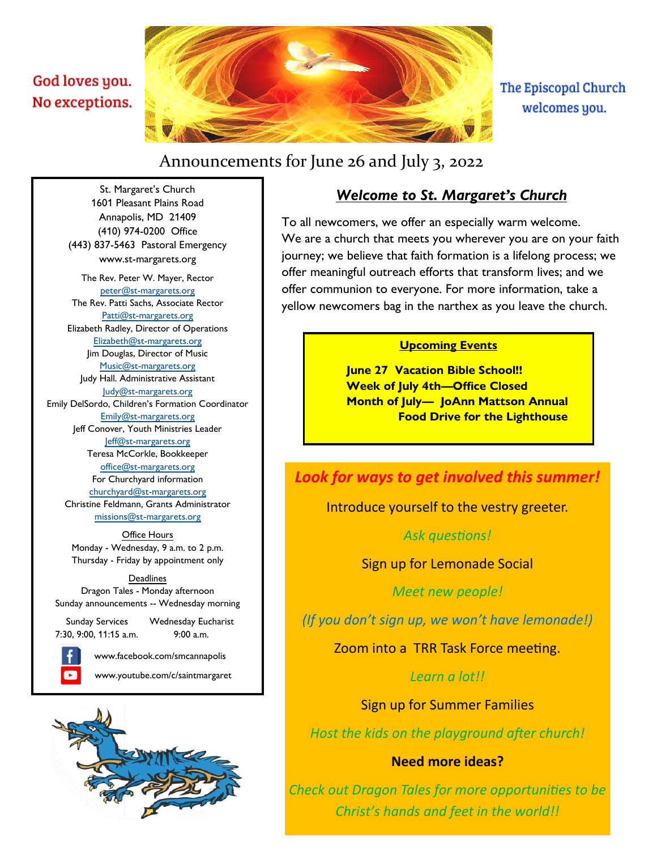## <span id="page-0-0"></span>God loves you. No exceptions.



The Episcopal Church welcomes you.

# Announcements for June 26 and July 3, 2022

## *Welcome to St. Margaret's Church*

To all newcomers, we offer an especially warm welcome. We are a church that meets you wherever you are on your faith journey; we believe that faith formation is a lifelong process; we offer meaningful outreach efforts that transform lives; and we offer communion to everyone. For more information, take a yellow newcomers bag in the narthex as you leave the church.

### **Upcoming Events**

**June 27 Vacation Bible School!! Week of July 4th—Office Closed Month of July— JoAnn Mattson Annual Food Drive for the Lighthouse** 

### *Look for ways to get involved this summer!*

Introduce yourself to the vestry greeter.

*Ask questions!*

Sign up for Lemonade Social

*Meet new people!* 

*(If you don't sign up, we won't have lemonade!)*

Zoom into a TRR Task Force meeting.

*Learn a lot!!*

Sign up for Summer Families

*Host the kids on the playground after church!*

### **Need more ideas?**

*Check out Dragon Tales for more opportunities to be Christ's hands and feet in the world!!*

Annapolis, MD 21409 (410) 974-0200 Office (443) 837-5463 Pastoral Emergency www.st-margarets.org The Rev. Peter W. Mayer, Rector [peter@st-margarets.org](mailto:peter@st-margarets.org) The Rev. Patti Sachs, Associate Rector [Patti@st-margarets.org](mailto:patti@st-margarets.org) Elizabeth Radley, Director of Operations [Elizabeth@st-margarets.org](mailto:elizabeth@st-margarets.org) Jim Douglas, Director of Music [Music@st-margarets.org](mailto:music@st-margarets.org) Judy Hall. Administrative Assistant [Judy@st-margarets.org](#page-0-0) Emily DelSordo, Children's Formation Coordinator [Emily@st-margarets.org](mailto:emily@st-margarets.org) Jeff Conover, Youth Ministries Leader [Jeff@st-margarets.org](mailto:jeff@st-margarets.org) Teresa McCorkle, Bookkeeper [office@st-margarets.org](mailto:office@st-margarets.org) For Churchyard information [churchyard@st-margarets.org](mailto:churchyard@st-margarets.org) Christine Feldmann, Grants Administrator [missions@st-margarets.org](mailto:missions@st-margarets.org)

St. Margaret's Church 1601 Pleasant Plains Road

Office Hours Monday - Wednesday, 9 a.m. to 2 p.m. Thursday - Friday by appointment only

#### Deadlines

Dragon Tales - Monday afternoon Sunday announcements -- Wednesday morning

 Sunday Services Wednesday Eucharist 7:30, 9:00, 11:15 a.m. 9:00 a.m.



www.facebook.com/smcannapolis

www.youtube.com/c/saintmargaret